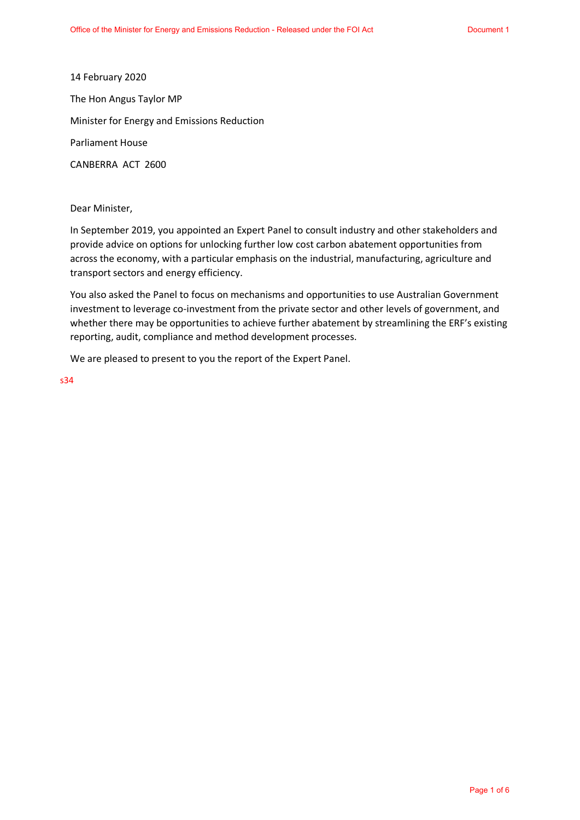14 February 2020 The Hon Angus Taylor MP Minister for Energy and Emissions Reduction Parliament House CANBERRA ACT 2600

Dear Minister,

In September 2019, you appointed an Expert Panel to consult industry and other stakeholders and provide advice on options for unlocking further low cost carbon abatement opportunities from across the economy, with a particular emphasis on the industrial, manufacturing, agriculture and transport sectors and energy efficiency.

You also asked the Panel to focus on mechanisms and opportunities to use Australian Government investment to leverage co-investment from the private sector and other levels of government, and whether there may be opportunities to achieve further abatement by streamlining the ERF's existing reporting, audit, compliance and method development processes.

We are pleased to present to you the report of the Expert Panel.

s34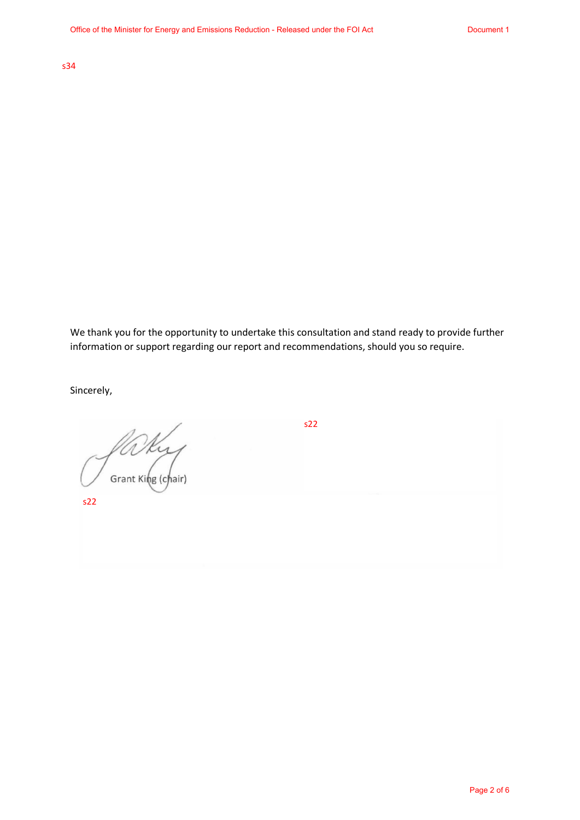s47C s34

We thank you for the opportunity to undertake this consultation and stand ready to provide further information or support regarding our report and recommendations, should you so require.

Sincerely,

s22<br>Scrant King (chair)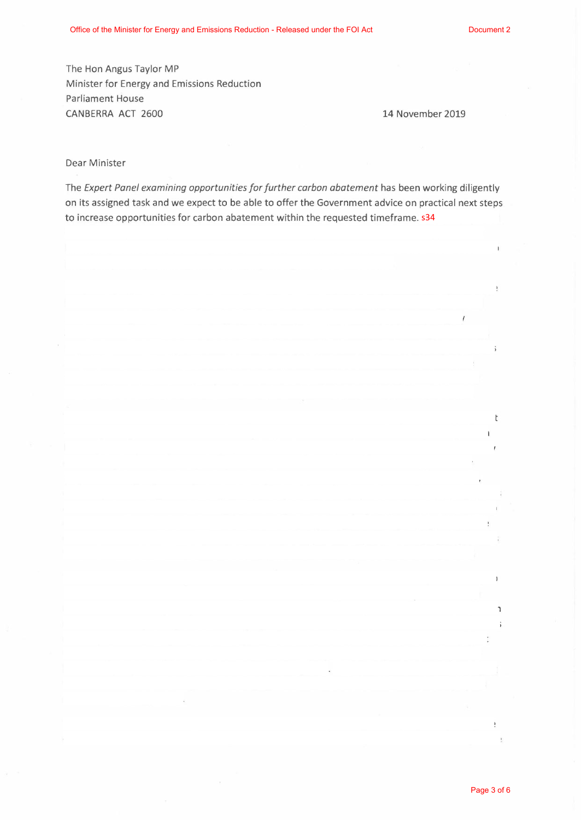The Hon Angus Taylor MP Minister for Energy and Emissions Reduction Parliament House CANBERRA ACT 2600 14 November 2019

## Dear Minister

The *Expert Panel examining opportunities for further carbon abatement* has been working diligently on its assigned task and we expect to be able to offer the Government advice on practical next steps to increase opportunities for carbon abatement within the requested timeframe. s34

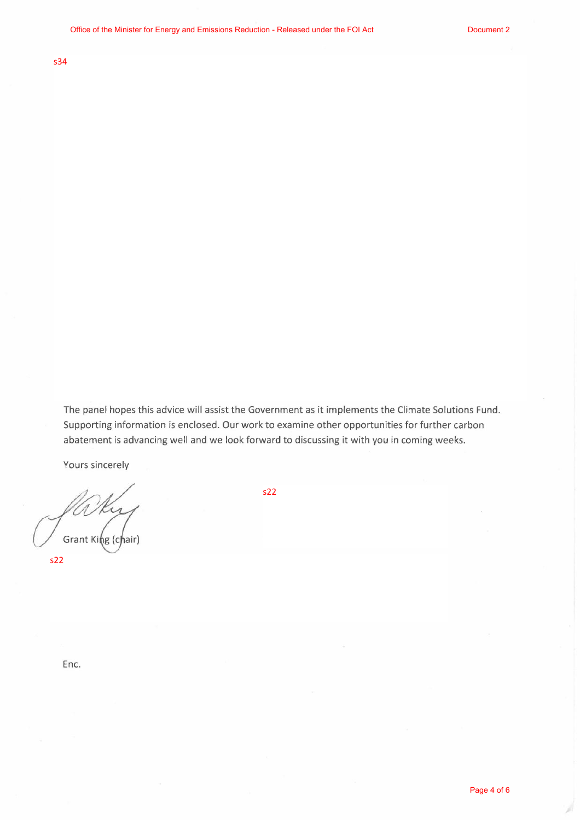s47C s34

The panel hopes this advice will assist the Government as it implements the Climate Solutions Fund. Supporting information is enclosed. Our work to examine other opportunities for further carbon abatement is advancing well and we look forward to discussing it with you in coming weeks.

Yours sincerely

Falker s22<br>Grant King (chair)

J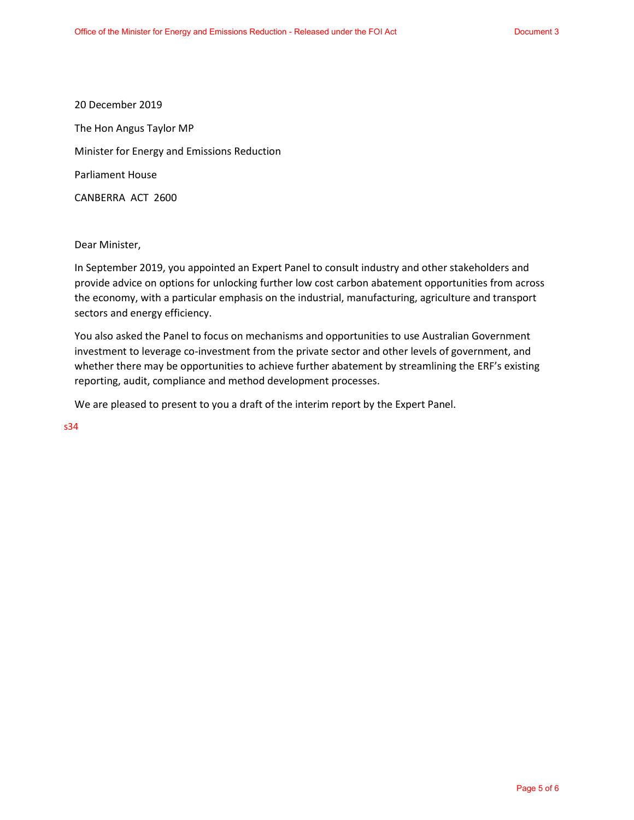20 December 2019 The Hon Angus Taylor MP Minister for Energy and Emissions Reduction Parliament House CANBERRA ACT 2600

Dear Minister,

In September 2019, you appointed an Expert Panel to consult industry and other stakeholders and provide advice on options for unlocking further low cost carbon abatement opportunities from across the economy, with a particular emphasis on the industrial, manufacturing, agriculture and transport sectors and energy efficiency.

You also asked the Panel to focus on mechanisms and opportunities to use Australian Government investment to leverage co-investment from the private sector and other levels of government, and whether there may be opportunities to achieve further abatement by streamlining the ERF's existing reporting, audit, compliance and method development processes.

We are pleased to present to you a draft of the interim report by the Expert Panel.

s34